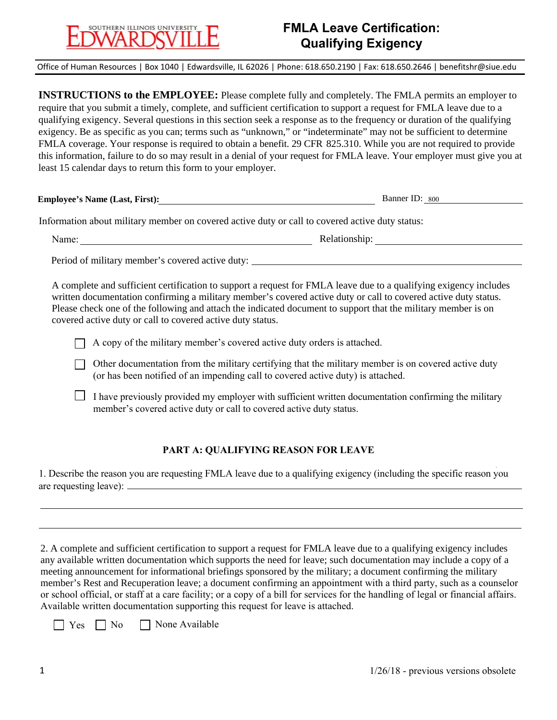# SOUTHERN ILLINOIS UNIVERSIT

## **FMLA Leave Certification: Qualifying Exigency**

Office of Human Resources | Box 1040 | Edwardsville, IL 62026 | Phone: 618.650.2190 | Fax: 618.650.2646 | benefitshr@siue.edu

**INSTRUCTIONS to the EMPLOYEE:** Please complete fully and completely. The FMLA permits an employer to require that you submit a timely, complete, and sufficient certification to support a request for FMLA leave due to a qualifying exigency. Several questions in this section seek a response as to the frequency or duration of the qualifying exigency. Be as specific as you can; terms such as "unknown," or "indeterminate" may not be sufficient to determine FMLA coverage. Your response is required to obtain a benefit. 29 CFR 825.310. While you are not required to provide this information, failure to do so may result in a denial of your request for FMLA leave. Your employer must give you at least 15 calendar days to return this form to your employer.

**Employee's Name (Last, First):** Banner ID: 800

Information about military member on covered active duty or call to covered active duty status:

Name:

Relationship:

Period of military member's covered active duty:

A complete and sufficient certification to support a request for FMLA leave due to a qualifying exigency includes written documentation confirming a military member's covered active duty or call to covered active duty status. Please check one of the following and attach the indicated document to support that the military member is on covered active duty or call to covered active duty status.

 $\Box$  A copy of the military member's covered active duty orders is attached.

- $\Box$  Other documentation from the military certifying that the military member is on covered active duty (or has been notified of an impending call to covered active duty) is attached.
- I have previously provided my employer with sufficient written documentation confirming the military member's covered active duty or call to covered active duty status.

#### **PART A: QUALIFYING REASON FOR LEAVE**

1. Describe the reason you are requesting FMLA leave due to a qualifying exigency (including the specific reason you are requesting leave):

2. A complete and sufficient certification to support a request for FMLA leave due to a qualifying exigency includes any available written documentation which supports the need for leave; such documentation may include a copy of a meeting announcement for informational briefings sponsored by the military; a document confirming the military member's Rest and Recuperation leave; a document confirming an appointment with a third party, such as a counselor or school official, or staff at a care facility; or a copy of a bill for services for the handling of legal or financial affairs. Available written documentation supporting this request for leave is attached.

 $\Box$  Yes  $\Box$  No  $\Box$  None Available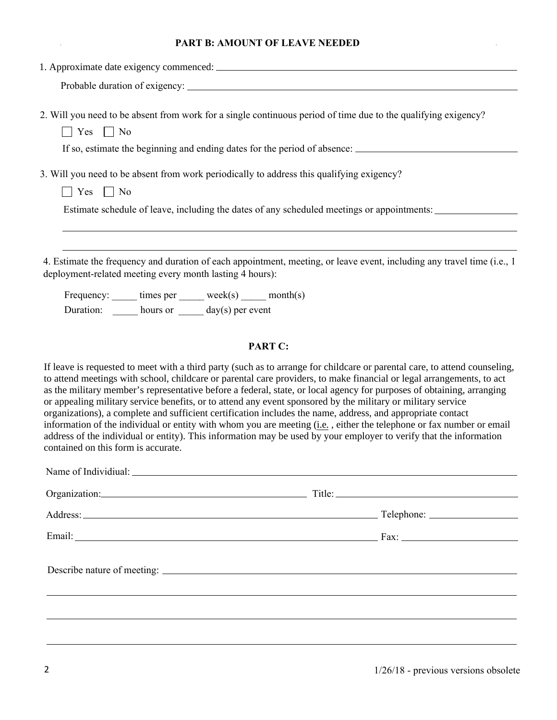### **PART B: AMOUNT OF LEAVE NEEDED**

| 2. Will you need to be absent from work for a single continuous period of time due to the qualifying exigency?<br>$\Box$ Yes $\Box$ No<br>If so, estimate the beginning and ending dates for the period of absence:                                                                                                                                                                                                                                                                                                                                                                                                                                                                                                                                                                                                                                                                              |  |  |
|--------------------------------------------------------------------------------------------------------------------------------------------------------------------------------------------------------------------------------------------------------------------------------------------------------------------------------------------------------------------------------------------------------------------------------------------------------------------------------------------------------------------------------------------------------------------------------------------------------------------------------------------------------------------------------------------------------------------------------------------------------------------------------------------------------------------------------------------------------------------------------------------------|--|--|
| 3. Will you need to be absent from work periodically to address this qualifying exigency?                                                                                                                                                                                                                                                                                                                                                                                                                                                                                                                                                                                                                                                                                                                                                                                                        |  |  |
| $\Box$ Yes $\Box$ No                                                                                                                                                                                                                                                                                                                                                                                                                                                                                                                                                                                                                                                                                                                                                                                                                                                                             |  |  |
| Estimate schedule of leave, including the dates of any scheduled meetings or appointments:                                                                                                                                                                                                                                                                                                                                                                                                                                                                                                                                                                                                                                                                                                                                                                                                       |  |  |
|                                                                                                                                                                                                                                                                                                                                                                                                                                                                                                                                                                                                                                                                                                                                                                                                                                                                                                  |  |  |
| 4. Estimate the frequency and duration of each appointment, meeting, or leave event, including any travel time (i.e., 1<br>deployment-related meeting every month lasting 4 hours):                                                                                                                                                                                                                                                                                                                                                                                                                                                                                                                                                                                                                                                                                                              |  |  |
| Frequency: ______ times per ______ week(s) _____ month(s)                                                                                                                                                                                                                                                                                                                                                                                                                                                                                                                                                                                                                                                                                                                                                                                                                                        |  |  |
| Duration: $\frac{1}{\sqrt{2\pi}}$ hours or $\frac{1}{\sqrt{2\pi}}$ day(s) per event                                                                                                                                                                                                                                                                                                                                                                                                                                                                                                                                                                                                                                                                                                                                                                                                              |  |  |
| PART C:                                                                                                                                                                                                                                                                                                                                                                                                                                                                                                                                                                                                                                                                                                                                                                                                                                                                                          |  |  |
| If leave is requested to meet with a third party (such as to arrange for childcare or parental care, to attend counseling,<br>to attend meetings with school, childcare or parental care providers, to make financial or legal arrangements, to act<br>as the military member's representative before a federal, state, or local agency for purposes of obtaining, arranging<br>or appealing military service benefits, or to attend any event sponsored by the military or military service<br>organizations), a complete and sufficient certification includes the name, address, and appropriate contact<br>information of the individual or entity with whom you are meeting (i.e., either the telephone or fax number or email<br>address of the individual or entity). This information may be used by your employer to verify that the information<br>contained on this form is accurate. |  |  |
| Organization: Title: Title: Title: Title: Title: Title: Title: Title: Title: Title: Title: Title: Title: Title: Title: Title: Title: Title: Title: Title: Title: Title: Title: Title: Title: Title: Title: Title: Title: Title                                                                                                                                                                                                                                                                                                                                                                                                                                                                                                                                                                                                                                                                   |  |  |
|                                                                                                                                                                                                                                                                                                                                                                                                                                                                                                                                                                                                                                                                                                                                                                                                                                                                                                  |  |  |
|                                                                                                                                                                                                                                                                                                                                                                                                                                                                                                                                                                                                                                                                                                                                                                                                                                                                                                  |  |  |
|                                                                                                                                                                                                                                                                                                                                                                                                                                                                                                                                                                                                                                                                                                                                                                                                                                                                                                  |  |  |
|                                                                                                                                                                                                                                                                                                                                                                                                                                                                                                                                                                                                                                                                                                                                                                                                                                                                                                  |  |  |
|                                                                                                                                                                                                                                                                                                                                                                                                                                                                                                                                                                                                                                                                                                                                                                                                                                                                                                  |  |  |
|                                                                                                                                                                                                                                                                                                                                                                                                                                                                                                                                                                                                                                                                                                                                                                                                                                                                                                  |  |  |

 $\ddot{\phantom{a}}$